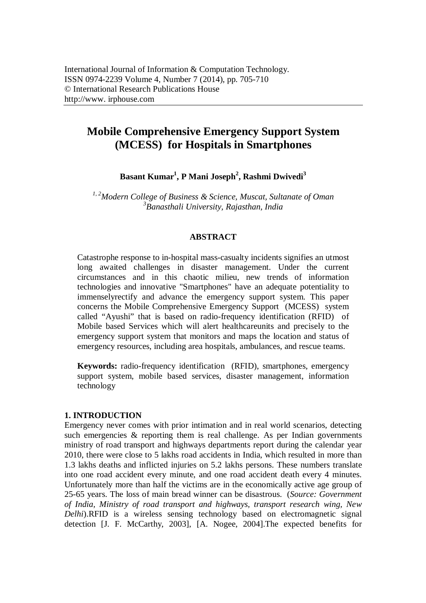# **Mobile Comprehensive Emergency Support System (MCESS) for Hospitals in Smartphones**

**Basant Kumar<sup>1</sup> , P Mani Joseph<sup>2</sup> , Rashmi Dwivedi<sup>3</sup>**

*1, 2Modern College of Business & Science, Muscat, Sultanate of Oman 3 Banasthali University, Rajasthan, India*

# **ABSTRACT**

Catastrophe response to in-hospital mass-casualty incidents signifies an utmost long awaited challenges in disaster management. Under the current circumstances and in this chaotic milieu, new trends of information technologies and innovative "Smartphones" have an adequate potentiality to immenselyrectify and advance the emergency support system. This paper concerns the Mobile Comprehensive Emergency Support (MCESS) system called "Ayushi" that is based on radio-frequency identification (RFID) of Mobile based Services which will alert healthcareunits and precisely to the emergency support system that monitors and maps the location and status of emergency resources, including area hospitals, ambulances, and rescue teams.

**Keywords:** radio-frequency identification (RFID), smartphones, emergency support system, mobile based services, disaster management, information technology

# **1. INTRODUCTION**

Emergency never comes with prior intimation and in real world scenarios, detecting such emergencies  $\&$  reporting them is real challenge. As per Indian governments ministry of road transport and highways departments report during the calendar year 2010, there were close to 5 lakhs road accidents in India, which resulted in more than 1.3 lakhs deaths and inflicted injuries on 5.2 lakhs persons. These numbers translate into one road accident every minute, and one road accident death every 4 minutes. Unfortunately more than half the victims are in the economically active age group of 25-65 years. The loss of main bread winner can be disastrous. (*Source: Government of India, Ministry of road transport and highways, transport research wing, New Delhi*).RFID is a wireless sensing technology based on electromagnetic signal detection [J. F. McCarthy, 2003], [A. Nogee, 2004].The expected benefits for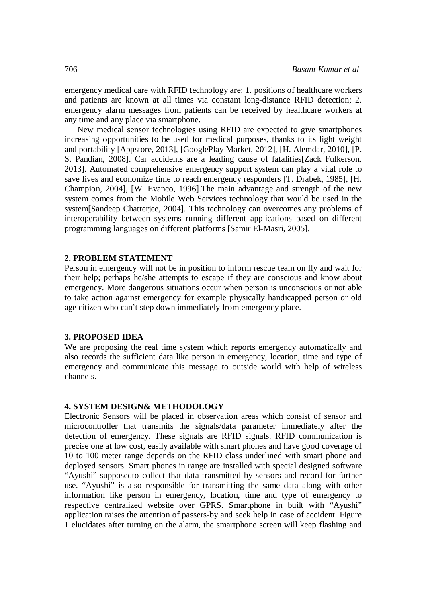emergency medical care with RFID technology are: 1. positions of healthcare workers and patients are known at all times via constant long-distance RFID detection; 2. emergency alarm messages from patients can be received by healthcare workers at any time and any place via smartphone.

New medical sensor technologies using RFID are expected to give smartphones increasing opportunities to be used for medical purposes, thanks to its light weight and portability [Appstore, 2013], [GooglePlay Market, 2012], [H. Alemdar, 2010], [P. S. Pandian, 2008]. Car accidents are a leading cause of fatalities[Zack Fulkerson, 2013]. Automated comprehensive emergency support system can play a vital role to save lives and economize time to reach emergency responders [T. Drabek, 1985], [H. Champion, 2004], [W. Evanco, 1996].The main advantage and strength of the new system comes from the Mobile Web Services technology that would be used in the system[Sandeep Chatterjee, 2004]. This technology can overcomes any problems of interoperability between systems running different applications based on different programming languages on different platforms [Samir El-Masri, 2005].

#### **2. PROBLEM STATEMENT**

Person in emergency will not be in position to inform rescue team on fly and wait for their help; perhaps he/she attempts to escape if they are conscious and know about emergency. More dangerous situations occur when person is unconscious or not able to take action against emergency for example physically handicapped person or old age citizen who can't step down immediately from emergency place.

### **3. PROPOSED IDEA**

We are proposing the real time system which reports emergency automatically and also records the sufficient data like person in emergency, location, time and type of emergency and communicate this message to outside world with help of wireless channels.

# **4. SYSTEM DESIGN& METHODOLOGY**

Electronic Sensors will be placed in observation areas which consist of sensor and microcontroller that transmits the signals/data parameter immediately after the detection of emergency. These signals are RFID signals. RFID communication is precise one at low cost, easily available with smart phones and have good coverage of 10 to 100 meter range depends on the RFID class underlined with smart phone and deployed sensors. Smart phones in range are installed with special designed software "Ayushi" supposedto collect that data transmitted by sensors and record for further use. "Ayushi" is also responsible for transmitting the same data along with other information like person in emergency, location, time and type of emergency to respective centralized website over GPRS. Smartphone in built with "Ayushi" application raises the attention of passers-by and seek help in case of accident. Figure 1 elucidates after turning on the alarm, the smartphone screen will keep flashing and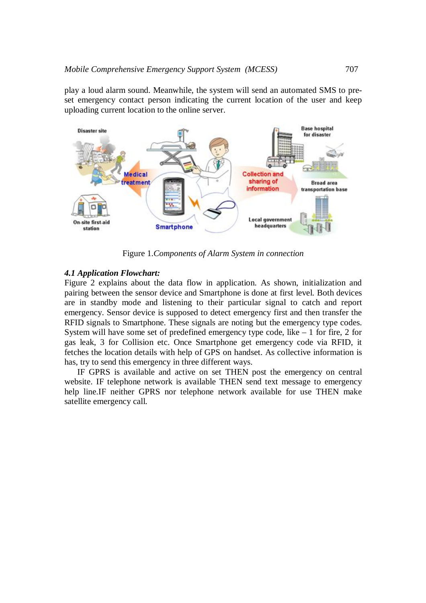play a loud alarm sound. Meanwhile, the system will send an automated SMS to preset emergency contact person indicating the current location of the user and keep uploading current location to the online server.



Figure 1.*Components of Alarm System in connection*

#### *4.1 Application Flowchart:*

Figure 2 explains about the data flow in application. As shown, initialization and pairing between the sensor device and Smartphone is done at first level. Both devices are in standby mode and listening to their particular signal to catch and report emergency. Sensor device is supposed to detect emergency first and then transfer the RFID signals to Smartphone. These signals are noting but the emergency type codes. System will have some set of predefined emergency type code, like  $-1$  for fire, 2 for gas leak, 3 for Collision etc. Once Smartphone get emergency code via RFID, it fetches the location details with help of GPS on handset. As collective information is has, try to send this emergency in three different ways.

IF GPRS is available and active on set THEN post the emergency on central website. IF telephone network is available THEN send text message to emergency help line.IF neither GPRS nor telephone network available for use THEN make satellite emergency call.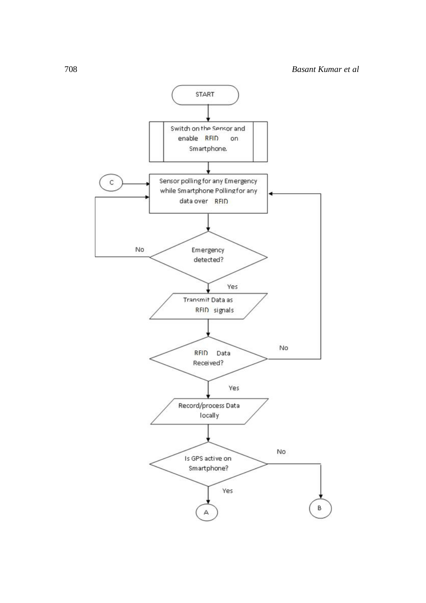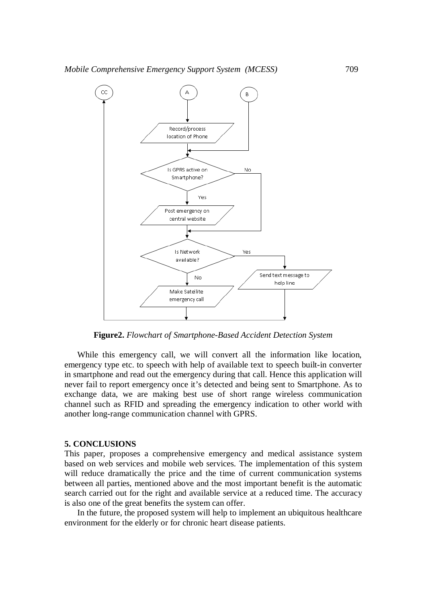

**Figure2.** *Flowchart of Smartphone-Based Accident Detection System*

While this emergency call, we will convert all the information like location, emergency type etc. to speech with help of available text to speech built-in converter in smartphone and read out the emergency during that call. Hence this application will never fail to report emergency once it's detected and being sent to Smartphone. As to exchange data, we are making best use of short range wireless communication channel such as RFID and spreading the emergency indication to other world with another long-range communication channel with GPRS.

#### **5. CONCLUSIONS**

This paper, proposes a comprehensive emergency and medical assistance system based on web services and mobile web services. The implementation of this system will reduce dramatically the price and the time of current communication systems between all parties, mentioned above and the most important benefit is the automatic search carried out for the right and available service at a reduced time. The accuracy is also one of the great benefits the system can offer.

In the future, the proposed system will help to implement an ubiquitous healthcare environment for the elderly or for chronic heart disease patients.